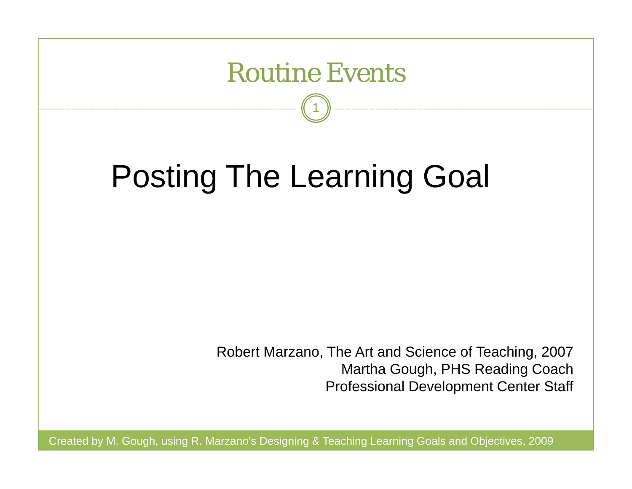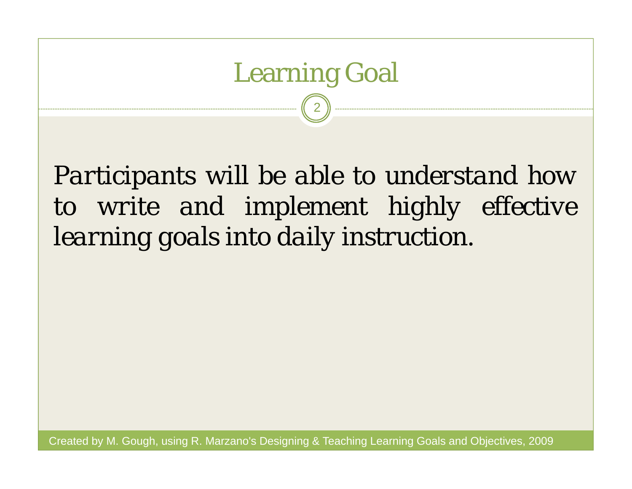# Learning Goal 2

*Participants will be able to understand how to write and implement highly effective learning goals into daily instruction.*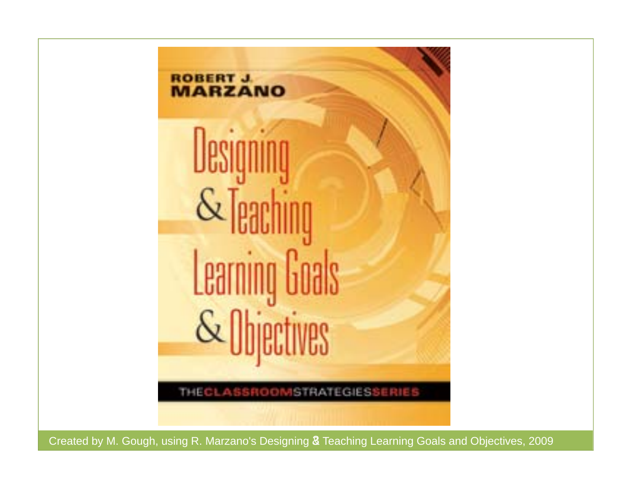

Created by M. Gough, using R. Marzano's Designing & Teaching Learning Goals and Objectives, 2009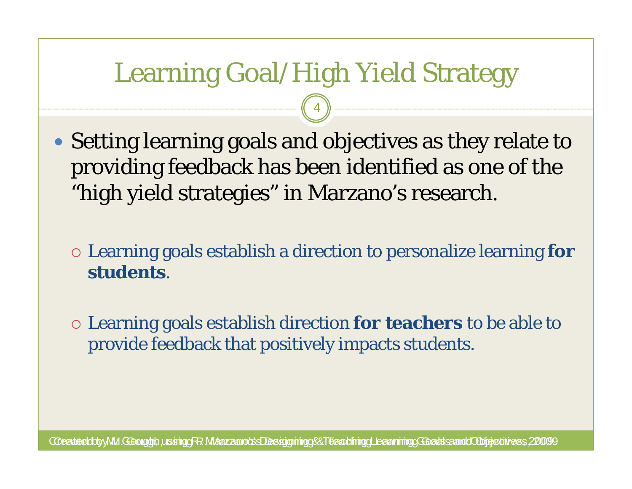## Learning Goal/High Yield Strategy

4

- Setting learning goals and objectives as they relate to providing feedback has been identified as one of the "high yield strategies" in Marzano's research.
	- Learning goals establish a direction to personalize learning **for students**.
	- Learning goals establish direction **for teachers** to be able to provide feedback that positively impacts students.

 $\alpha$ ceated by M. Goolgigh, using R. Maazzano's Designing & Teaching Learning Goals and Obijectives, 2009 9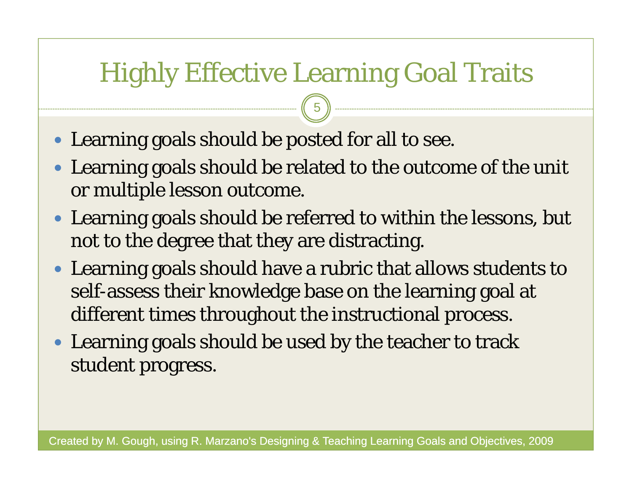## Highly Effective Learning Goal Traits

5

- Learning goals should be posted for all to see.
- Learning goals should be related to the outcome of the unit or multiple lesson outcome.
- Learning goals should be referred to within the lessons, but not to the degree that they are distracting.
- Learning goals should have a rubric that allows students to self-assess their knowledge base on the learning goal at different times throughout the instructional process.
- Learning goals should be used by the teacher to track student progress.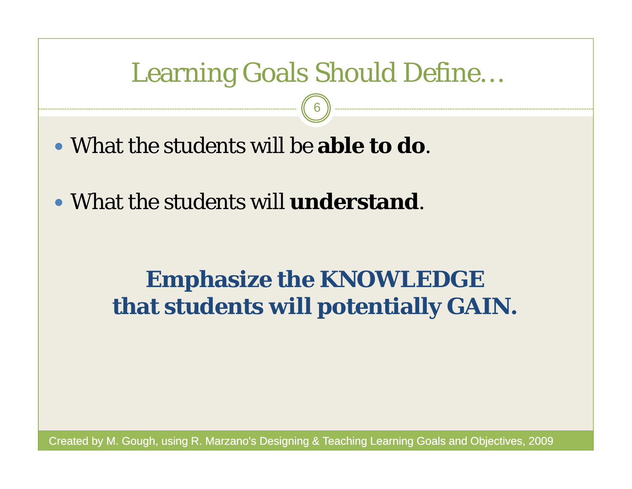#### Learning Goals Should Define…

6

What the students will be **able to do**.

What the students will **understand**.

#### **Emphasize the KNOWLEDGE that students will potentially GAIN.**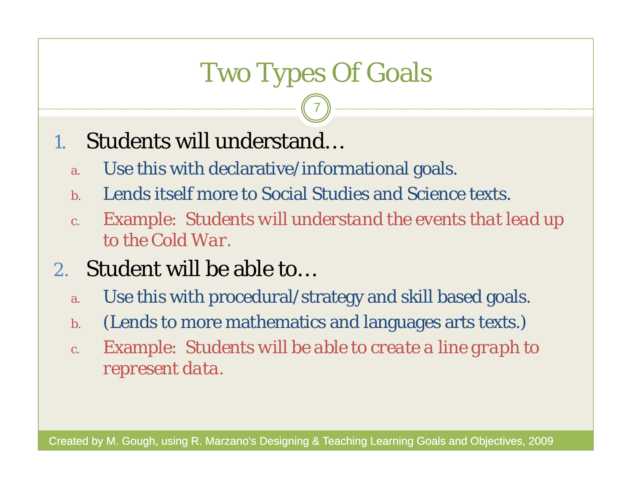# Two Types Of Goals

7

#### 1.Students will understand…

- a.Use this with declarative/informational goals.
- b.Lends itself more to Social Studies and Science texts.
- c. Example: *Students will understand the events that lead up to the Cold War.*

#### 2. Student will be able to…

- a.Use this with procedural/strategy and skill based goals.
- b.(Lends to more mathematics and languages arts texts.)
- c. Example: *Students will be able to create a line graph to represent data.*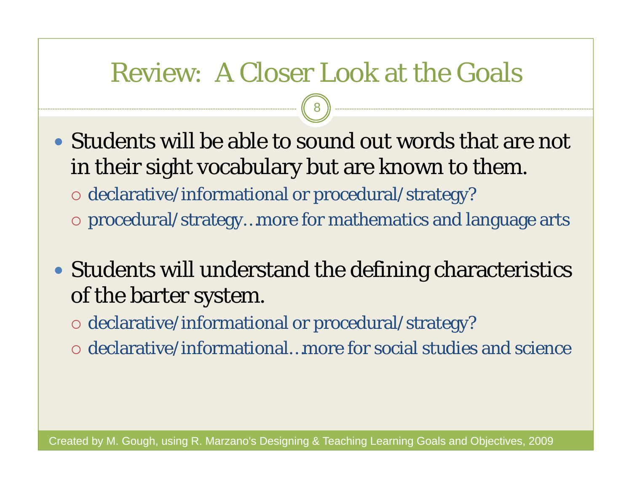#### Review: A Closer Look at the Goals

8

- Students will be able to sound out words that are not in their sight vocabulary but are known to them. declarative/informational or procedural/strategy?
	- procedural/strategy…more for mathematics and language arts
- Students will understand the defining characteristics of the barter system.
	- declarative/informational or procedural/strategy?
	- $\circ$  declarative/informational...more for social studies and science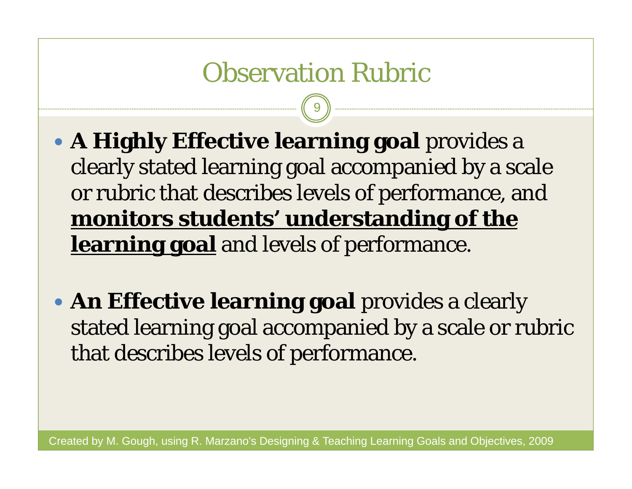#### Observation Rubric

9

- **A Highly Effective learning goal** provides a clearly stated learning goal accompanied by a scale or rubric that describes levels of performance, and **monitors students' understanding of the learning goal** and levels of performance.
- **An Effective learning goal** provides a clearly stated learning goal accompanied by a scale or rubric that describes levels of performance.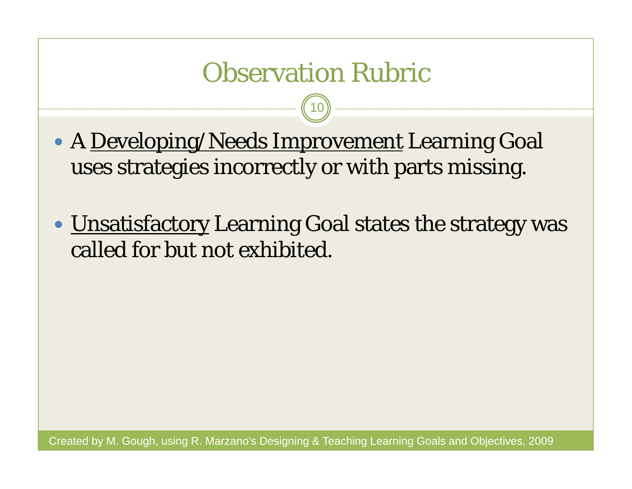#### Observation Rubric

10

• A <u>Developing/Needs Improvement</u> Learning Goal uses strategies incorrectly or with parts missing.

• <u>Unsatisfactory</u> Learning Goal states the strategy was called for but not exhibited.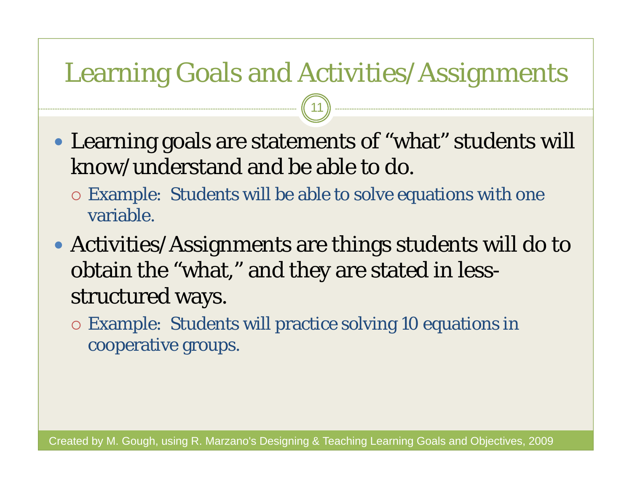#### Learning Goals and Activities/Assignments

11

- Learning goals are statements of "what" students will know/understand and be able to do.
	- Example: Students will be able to solve equations with one variable.
- Activities/Assignments are things students will do to obtain the "what," and they are stated in lessstructured ways.
	- Example: Students will practice solving 10 equations in cooperative groups.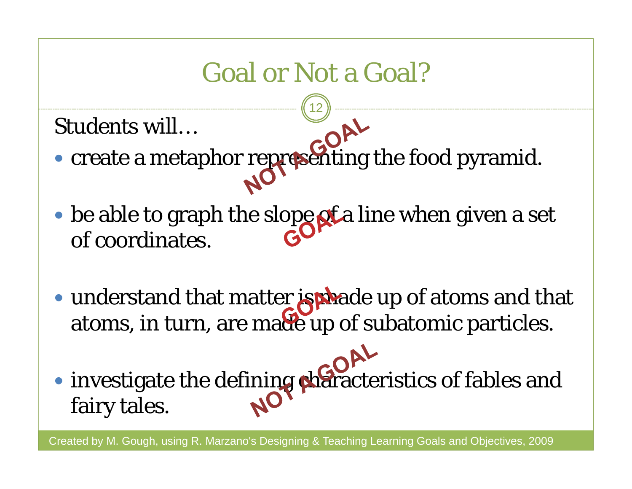## Goal or Not a Goal?

12

Students will…

- create a metaphor representing the food pyramid.
- $\bullet$  be able to graph the slope of a line when given a set of coordinates.
- understand that matter **is pha**de up of atoms and that atoms, in turn, are made up of subatomic particles.
- investigate the defining characteristics of fables and fairy tales.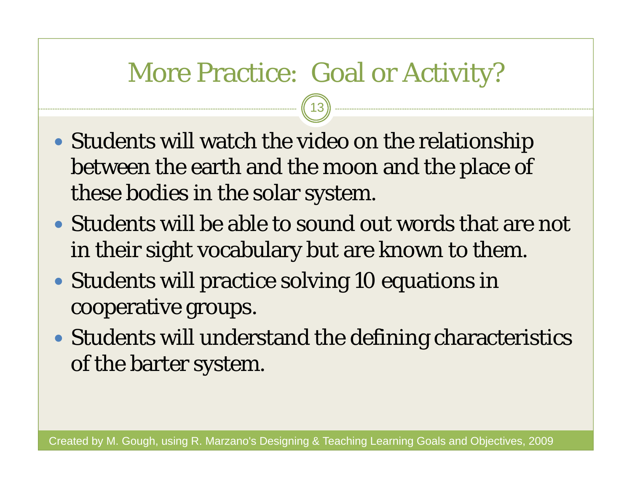#### More Practice: Goal or Activity?

13

- Students will watch the video on the relationship between the earth and the moon and the place of these bodies in the solar system.
- Students will be able to sound out words that are not in their sight vocabulary but are known to them.
- Students will practice solving 10 equations in cooperative groups.
- Students will understand the defining characteristics of the barter system.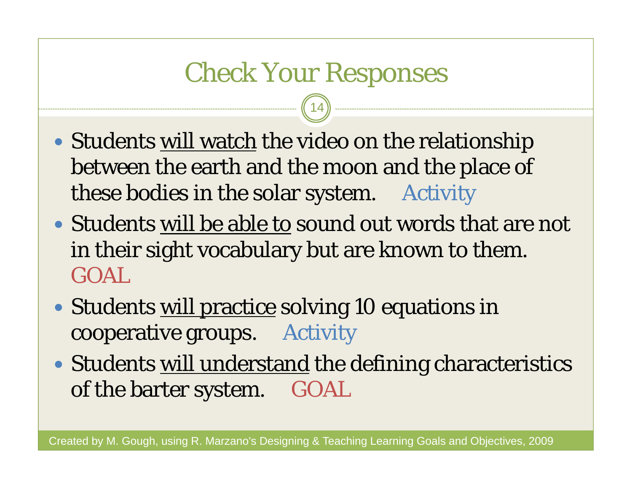#### Check Your Responses

14

- Students <u>will watch</u> the video on the relationship between the earth and the moon and the place of these bodies in the solar system. Activity
- Students will be able to sound out words that are not in their sight vocabulary but are known to them. GOAL
- Students <u>will practice</u> solving 10 equations in cooperative groups. Activity
- Students will understand the defining characteristics of the barter system. GOAL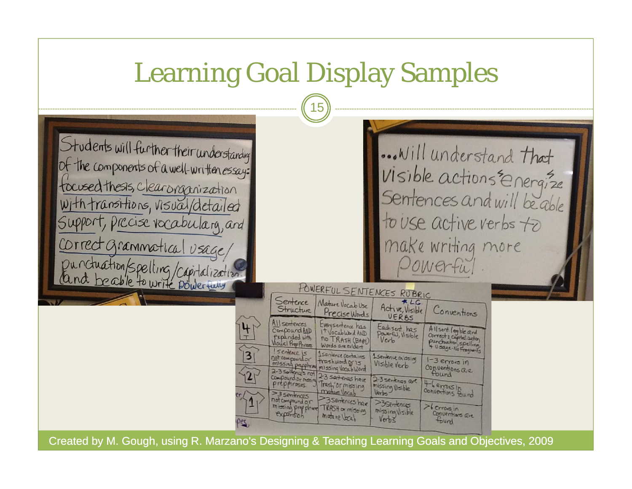## Learning Goal Display Samples

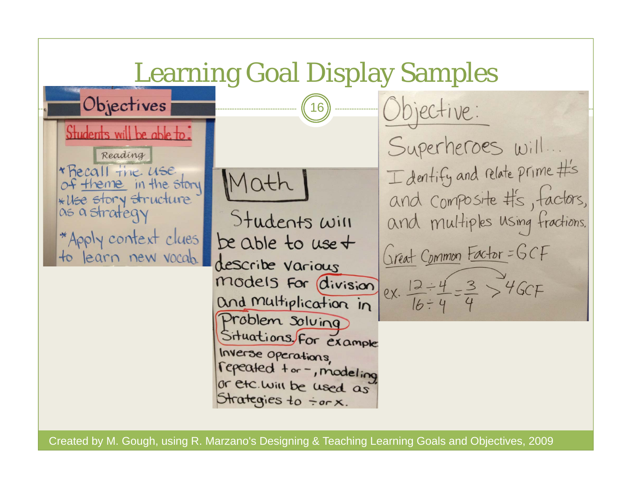Learning Goal Display Samples Objectives  $(16)$ Objective: students will be able to Superheroes will. Reading I dentify and relate prime #'s \* Recall the use Math of theme in the story and composite #'s, factors, \* Use story structure as a strategy and multiples using fractions. Students will \*Apply context clues be able to use + Great Common Factor = GCF to learn new vocab. describe various ex.  $\frac{12 \div 4}{16 \div 4} = \frac{3}{4} > 46CF$ models For division and multiplication in Problem solving Situations, For example Inverse operations, repeased tor-, modeling or etc. will be used as Strategies to for x.